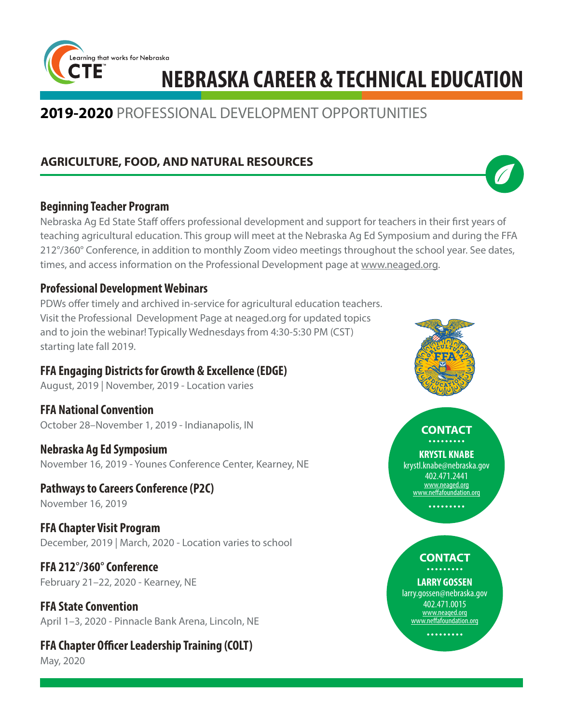

# **2019-2020** PROFESSIONAL DEVELOPMENT OPPORTUNITIES

# **AGRICULTURE, FOOD, AND NATURAL RESOURCES**

### **Beginning Teacher Program**

Nebraska Ag Ed State Staff offers professional development and support for teachers in their first years of teaching agricultural education. This group will meet at the Nebraska Ag Ed Symposium and during the FFA 212°/360° Conference, in addition to monthly Zoom video meetings throughout the school year. See dates, times, and access information on the Professional Development page at www.neaged.org.

### **Professional Development Webinars**

PDWs offer timely and archived in-service for agricultural education teachers. Visit the Professional Development Page at neaged.org for updated topics and to join the webinar! Typically Wednesdays from 4:30-5:30 PM (CST) starting late fall 2019.

# **FFA Engaging Districts for Growth & Excellence (EDGE)**

August, 2019 | November, 2019 - Location varies

**FFA National Convention** October 28–November 1, 2019 - Indianapolis, IN

### **Nebraska Ag Ed Symposium**

November 16, 2019 - Younes Conference Center, Kearney, NE

**Pathways to Careers Conference (P2C)** November 16, 2019

**FFA Chapter Visit Program** December, 2019 | March, 2020 - Location varies to school

**FFA 212°/360° Conference** February 21–22, 2020 - Kearney, NE

**FFA State Convention** April 1–3, 2020 - Pinnacle Bank Arena, Lincoln, NE

**FFA Chapter Officer Leadership Training (COLT)** May, 2020



#### **CONTACT**. . . . . . . . .

### **KRYSTL KNABE**

krystl.knabe@nebraska.gov 402.471.2441 www.neaged.org www.neffafoundation.org

.........

### **CONTACT** . . . . . . . . .

### **LARRY GOSSEN**

larry.gossen@nebraska.gov 402.471.0015 www.neaged.org www.neffafoundation.org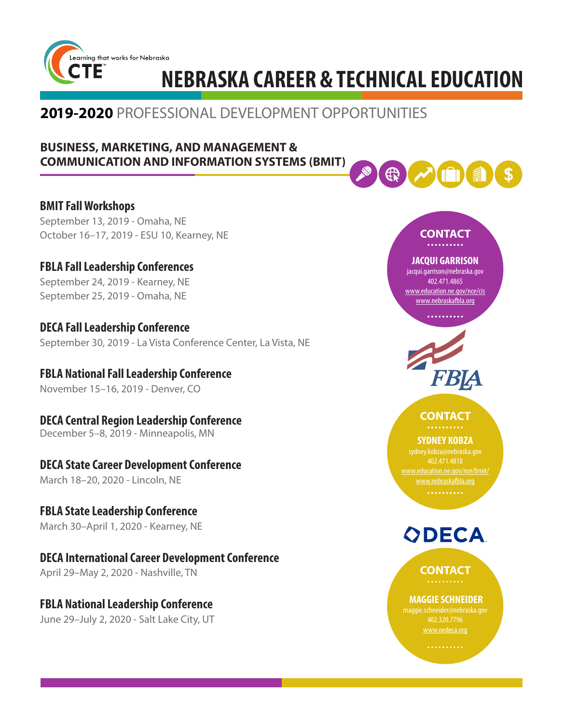

# **2019-2020** PROFESSIONAL DEVELOPMENT OPPORTUNITIES

### **BUSINESS, MARKETING, AND MANAGEMENT & COMMUNICATION AND INFORMATION SYSTEMS (BMIT)**

**BMIT Fall Workshops** September 13, 2019 - Omaha, NE October 16–17, 2019 - ESU 10, Kearney, NE

**FBLA Fall Leadership Conferences** September 24, 2019 - Kearney, NE September 25, 2019 - Omaha, NE

**DECA Fall Leadership Conference** September 30, 2019 - La Vista Conference Center, La Vista, NE

**FBLA National Fall Leadership Conference** November 15–16, 2019 - Denver, CO

**DECA Central Region Leadership Conference** December 5–8, 2019 - Minneapolis, MN

# **DECA State Career Development Conference**

March 18–20, 2020 - Lincoln, NE

**FBLA State Leadership Conference** March 30–April 1, 2020 - Kearney, NE

**DECA International Career Development Conference** April 29–May 2, 2020 - Nashville, TN

**FBLA National Leadership Conference**  June 29–July 2, 2020 - Salt Lake City, UT

# ⊕

#### **CONTACT** . . . . . . . . . .

### **JACQUI GARRISON**

jacqui.garrison@nebraska.gov 402.471.4865 www.education.ne.gov/nce/cis www.nebraskafbla.org

#### **CONTACT** . . . . . . . . . .

### **SYDNEY KOBZA**

sydney.kobza@nebraska.gov 402.471.4818 www.education.ne.gov/nce/bmit/ www.nebraskafbla.org

. . . . . . . . . .



**CONTACT**

### **MAGGIE SCHNEIDER**

maggie.schneider@nebraska.gov 402.320.7796 www.nedeca.org

. . . . . . . . . .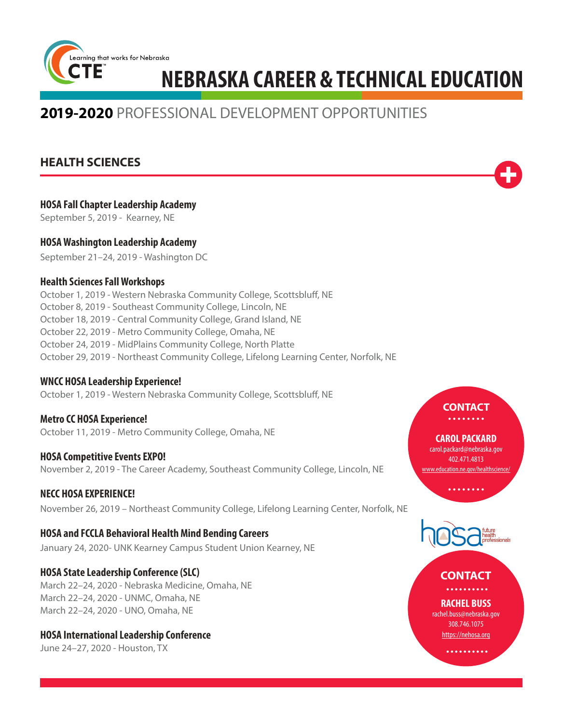

# **2019-2020** PROFESSIONAL DEVELOPMENT OPPORTUNITIES

### **HEALTH SCIENCES**

|  | <b>HOSA Fall Chapter Leadership Academy</b> |  |
|--|---------------------------------------------|--|
|--|---------------------------------------------|--|

September 5, 2019 - Kearney, NE

### **HOSA Washington Leadership Academy**

September 21–24, 2019 - Washington DC

### **Health Sciences Fall Workshops**

October 1, 2019 - Western Nebraska Community College, Scottsbluff, NE October 8, 2019 - Southeast Community College, Lincoln, NE October 18, 2019 - Central Community College, Grand Island, NE October 22, 2019 - Metro Community College, Omaha, NE October 24, 2019 - MidPlains Community College, North Platte October 29, 2019 - Northeast Community College, Lifelong Learning Center, Norfolk, NE

### **WNCC HOSA Leadership Experience!**

October 1, 2019 - Western Nebraska Community College, Scottsbluff, NE

**Metro CC HOSA Experience!** October 11, 2019 - Metro Community College, Omaha, NE

### **HOSA Competitive Events EXPO!**

November 2, 2019 - The Career Academy, Southeast Community College, Lincoln, NE

### **NECC HOSA EXPERIENCE!**

November 26, 2019 – Northeast Community College, Lifelong Learning Center, Norfolk, NE

### **HOSA and FCCLA Behavioral Health Mind Bending Careers**

January 24, 2020- UNK Kearney Campus Student Union Kearney, NE

### **HOSA State Leadership Conference (SLC)**

March 22–24, 2020 - Nebraska Medicine, Omaha, NE March 22–24, 2020 - UNMC, Omaha, NE March 22–24, 2020 - UNO, Omaha, NE

### **HOSA International Leadership Conference**

June 24–27, 2020 - Houston, TX

# **CONTACT**

#### **CAROL PACKARD** carol.packard@nebraska.gov 402.471.4813 www.education.ne.gov/healthscience,



#### **CONTACT**. . . . . . . . . .

**RACHEL BUSS** rachel.buss@nebraska.gov 308.746.1075 https://nehosa.org

. . . . . . . . . .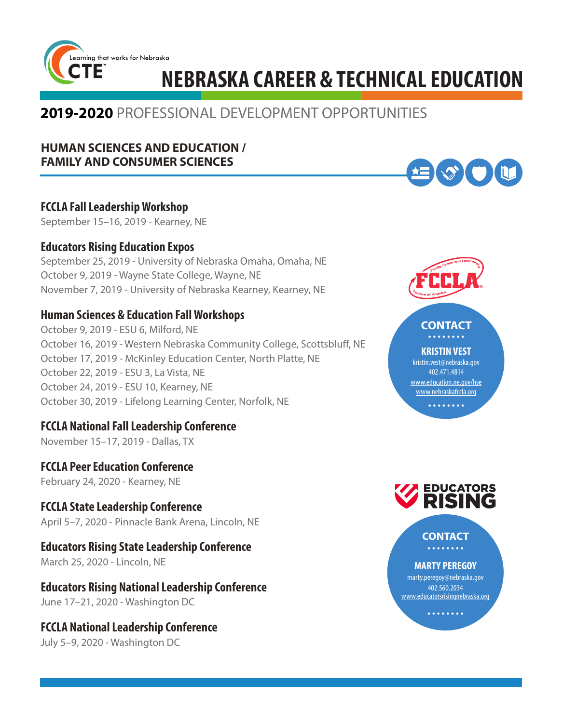

# **2019-2020** PROFESSIONAL DEVELOPMENT OPPORTUNITIES

### **HUMAN SCIENCES AND EDUCATION / FAMILY AND CONSUMER SCIENCES**

# **FCCLA Fall Leadership Workshop**

September 15–16, 2019 - Kearney, NE

### **Educators Rising Education Expos**

September 25, 2019 - University of Nebraska Omaha, Omaha, NE October 9, 2019 - Wayne State College, Wayne, NE November 7, 2019 - University of Nebraska Kearney, Kearney, NE

# **Human Sciences & Education Fall Workshops**

October 9, 2019 - ESU 6, Milford, NE October 16, 2019 - Western Nebraska Community College, Scottsbluff, NE October 17, 2019 - McKinley Education Center, North Platte, NE October 22, 2019 - ESU 3, La Vista, NE October 24, 2019 - ESU 10, Kearney, NE October 30, 2019 - Lifelong Learning Center, Norfolk, NE

# **FCCLA National Fall Leadership Conference**

November 15–17, 2019 - Dallas, TXe

**FCCLA Peer Education Conference**  February 24, 2020 - Kearney, NE

# **FCCLA State Leadership Conference**

April 5–7, 2020 - Pinnacle Bank Arena, Lincoln, NE

### **Educators Rising State Leadership Conference**

March 25, 2020 - Lincoln, NE

**Educators Rising National Leadership Conference** June 17–21, 2020 - Washington DC

### **FCCLA National Leadership Conference**

July 5–9, 2020 - Washington DC



**EXAMPLE** 

#### **CONTACT** . . . . . . .

**KRISTIN VEST**

kristin.vest@nebraska.gov 402.471.4814 www.education.ne.gov/hse www.nebraskafccla.org

. . . . . . . .



**CONTACT**. . . . . . . .

**MARTY PEREGOY**

marty.peregoy@nebraska.gov 402.560.2034 www.educatorsrisingnebraska.org

. . . . . . . .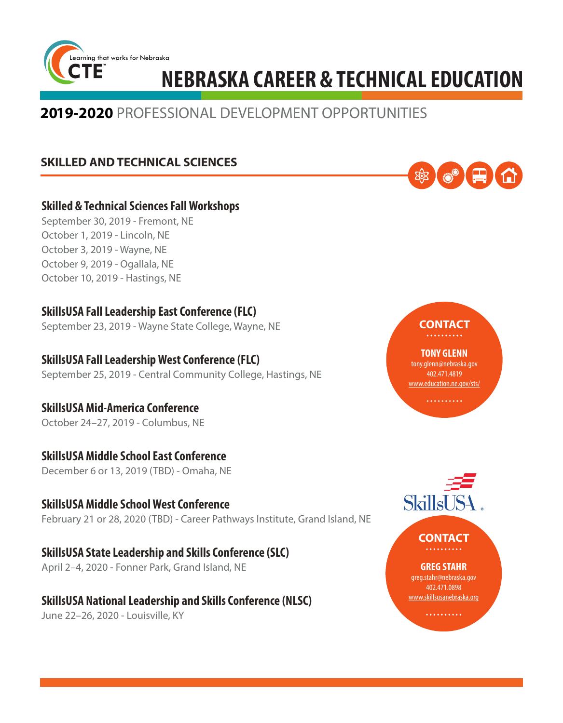

# **2019-2020** PROFESSIONAL DEVELOPMENT OPPORTUNITIES

# **SKILLED AND TECHNICAL SCIENCES**



### **Skilled & Technical Sciences Fall Workshops**

September 30, 2019 - Fremont, NE October 1, 2019 - Lincoln, NE October 3, 2019 - Wayne, NE October 9, 2019 - Ogallala, NE October 10, 2019 - Hastings, NE

# **SkillsUSA Fall Leadership East Conference (FLC)**

September 23, 2019 - Wayne State College, Wayne, NE

# **SkillsUSA Fall Leadership West Conference (FLC)**

September 25, 2019 - Central Community College, Hastings, NE

# **SkillsUSA Mid-America Conference**

October 24–27, 2019 - Columbus, NE

# **SkillsUSA Middle School East Conference**

December 6 or 13, 2019 (TBD) - Omaha, NE

### **SkillsUSA Middle School West Conference** February 21 or 28, 2020 (TBD) - Career Pathways Institute, Grand Island, NE

**SkillsUSA State Leadership and Skills Conference (SLC)** April 2–4, 2020 - Fonner Park, Grand Island, NE

### **SkillsUSA National Leadership and Skills Conference (NLSC)** June 22–26, 2020 - Louisville, KY



**TONY GLENN** tony.glenn@nebraska.gov 402.471.4819 www.education.ne.gov/sts/

. . . . . . . . . .

**CONTACT**

### **CONTACT** . . . . . . . .

### **GREG STAHR**

greg.stahr@nebraska.gov 402.471.0898 www.skillsusanebraska.org